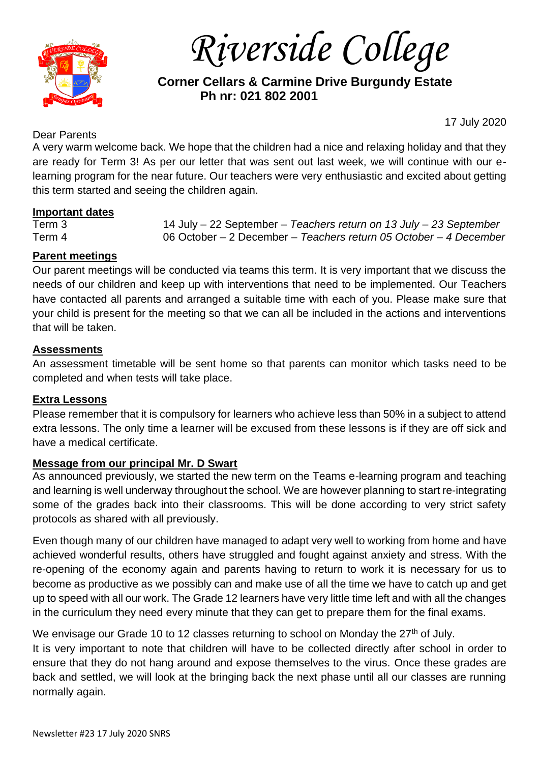

*Riverside College*

 **Corner Cellars & Carmine Drive Burgundy Estate Ph nr: 021 802 2001**

# Dear Parents

17 July 2020

A very warm welcome back. We hope that the children had a nice and relaxing holiday and that they are ready for Term 3! As per our letter that was sent out last week, we will continue with our elearning program for the near future. Our teachers were very enthusiastic and excited about getting this term started and seeing the children again.

## **Important dates**

Term 3 14 July – 22 September – *Teachers return on 13 July – 23 September* Term 4 06 October – 2 December – *Teachers return 05 October – 4 December*

## **Parent meetings**

Our parent meetings will be conducted via teams this term. It is very important that we discuss the needs of our children and keep up with interventions that need to be implemented. Our Teachers have contacted all parents and arranged a suitable time with each of you. Please make sure that your child is present for the meeting so that we can all be included in the actions and interventions that will be taken.

### **Assessments**

An assessment timetable will be sent home so that parents can monitor which tasks need to be completed and when tests will take place.

### **Extra Lessons**

Please remember that it is compulsory for learners who achieve less than 50% in a subject to attend extra lessons. The only time a learner will be excused from these lessons is if they are off sick and have a medical certificate.

### **Message from our principal Mr. D Swart**

As announced previously, we started the new term on the Teams e-learning program and teaching and learning is well underway throughout the school. We are however planning to start re-integrating some of the grades back into their classrooms. This will be done according to very strict safety protocols as shared with all previously.

Even though many of our children have managed to adapt very well to working from home and have achieved wonderful results, others have struggled and fought against anxiety and stress. With the re-opening of the economy again and parents having to return to work it is necessary for us to become as productive as we possibly can and make use of all the time we have to catch up and get up to speed with all our work. The Grade 12 learners have very little time left and with all the changes in the curriculum they need every minute that they can get to prepare them for the final exams.

We envisage our Grade 10 to 12 classes returning to school on Monday the  $27<sup>th</sup>$  of July.

It is very important to note that children will have to be collected directly after school in order to ensure that they do not hang around and expose themselves to the virus. Once these grades are back and settled, we will look at the bringing back the next phase until all our classes are running normally again.